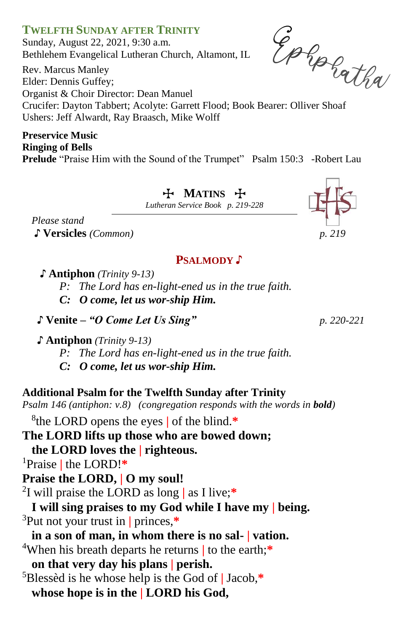Sunday, August 22, 2021, 9:30 a.m. Bethlehem Evangelical Lutheran Church, Altamont, IL

Rev. Marcus Manley Elder: Dennis Guffey; Organist & Choir Director: Dean Manuel Sunday, August 22, 2021, 9:30 a.m.<br>
Bethlehem Evangelical Lutheran Church, Altamont, IL<br>
Rev. Marcus Manley<br>
Elder: Dennis Guffey;<br>
Organist & Choir Director: Dean Manuel<br>
Crucifer: Dayton Tabbert; Acolyte: Garrett Flood; Ushers: Jeff Alwardt, Ray Braasch, Mike Wolff

## **Preservice Music Ringing of Bells**

**Prelude** "Praise Him with the Sound of the Trumpet" Psalm 150:3 -Robert Lau

T **MATINS** T

*Lutheran Service Book p. 219-228*

*Please stand* ♪ **Versicles** *(Common) p. 219* 

# **PSALMODY** ♪

- **♪ Antiphon** *(Trinity 9-13)*
	- *P: The Lord has en-light-ened us in the true faith.*
	- *C: O come, let us wor-ship Him.*
- ♪ **Venite –** *"O Come Let Us Sing" p. 220-221*
- **♪ Antiphon** *(Trinity 9-13)*
	- *P: The Lord has en-light-ened us in the true faith.*
	- *C: O come, let us wor-ship Him.*

# **Additional Psalm for the Twelfth Sunday after Trinity**

*Psalm 146 (antiphon: v.8) (congregation responds with the words in bold)*

8 the LORD opens the eyes **|** of the blind.**\***

- **The LORD lifts up those who are bowed down;**
- **the LORD loves the | righteous.**
- <sup>1</sup>Praise **|** the LORD!**\***
- **Praise the LORD, | O my soul!**
- 2 I will praise the LORD as long **|** as I live;**\***
- **I will sing praises to my God while I have my | being.** <sup>3</sup>Put not your trust in **|** princes,**\***
- **in a son of man, in whom there is no sal- | vation.** <sup>4</sup>When his breath departs he returns **|** to the earth;**\* on that very day his plans | perish.** <sup>5</sup>Blessèd is he whose help is the God of **|** Jacob,**\* whose hope is in the | LORD his God,**





**TWELFTH SUNDAY AFTER TRINITY**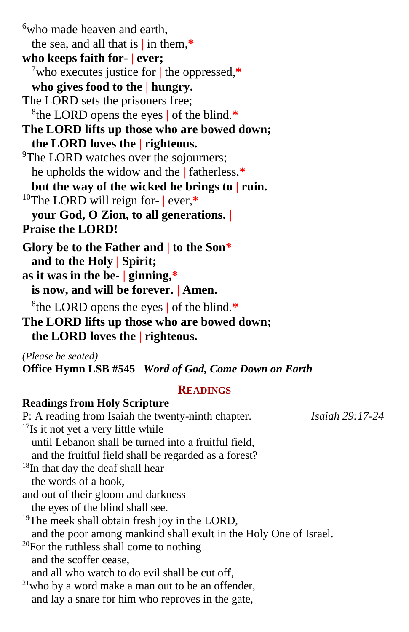<sup>6</sup>who made heaven and earth, the sea, and all that is **|** in them,**\* who keeps faith for- | ever;** <sup>7</sup>who executes justice for **|** the oppressed,**\* who gives food to the | hungry.** The LORD sets the prisoners free; 8 the LORD opens the eyes **|** of the blind.**\* The LORD lifts up those who are bowed down; the LORD loves the | righteous.** <sup>9</sup>The LORD watches over the sojourners; he upholds the widow and the **|** fatherless,**\* but the way of the wicked he brings to | ruin.** <sup>10</sup>The LORD will reign for- **|** ever,**\* your God, O Zion, to all generations. | Praise the LORD! Glory be to the Father and | to the Son\* and to the Holy | Spirit; as it was in the be- | ginning,\* is now, and will be forever. | Amen.** 8 the LORD opens the eyes **|** of the blind.**\* The LORD lifts up those who are bowed down;**

**the LORD loves the | righteous.**

*(Please be seated)*

**Office Hymn LSB #545** *Word of God, Come Down on Earth*

#### **READINGS**

#### **Readings from Holy Scripture**

P: A reading from Isaiah the twenty-ninth chapter.*Isaiah 29:17-24* <sup>17</sup>Is it not yet a very little while until Lebanon shall be turned into a fruitful field, and the fruitful field shall be regarded as a forest? <sup>18</sup>In that day the deaf shall hear the words of a book, and out of their gloom and darkness the eyes of the blind shall see. <sup>19</sup>The meek shall obtain fresh joy in the LORD, and the poor among mankind shall exult in the Holy One of Israel.  $20$ For the ruthless shall come to nothing and the scoffer cease, and all who watch to do evil shall be cut off,  $21$ who by a word make a man out to be an offender, and lay a snare for him who reproves in the gate,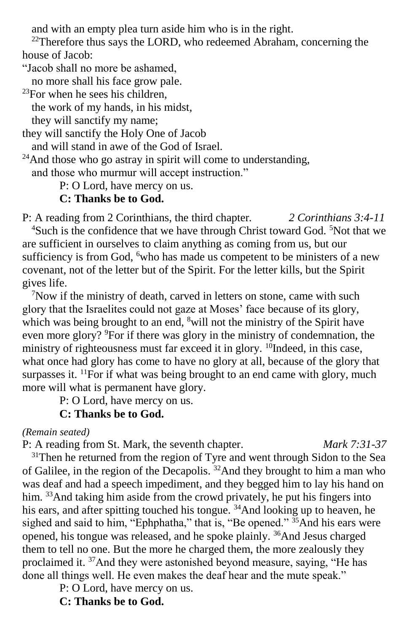and with an empty plea turn aside him who is in the right.

 $22$ Therefore thus says the LORD, who redeemed Abraham, concerning the house of Jacob:

"Jacob shall no more be ashamed,

no more shall his face grow pale.

 $^{23}$ For when he sees his children,

the work of my hands, in his midst,

they will sanctify my name;

they will sanctify the Holy One of Jacob

and will stand in awe of the God of Israel.

 $24$ And those who go astray in spirit will come to understanding, and those who murmur will accept instruction."

P: O Lord, have mercy on us.

# **C: Thanks be to God.**

P: A reading from 2 Corinthians, the third chapter*. 2 Corinthians 3:4-11* <sup>4</sup>Such is the confidence that we have through Christ toward God. <sup>5</sup>Not that we are sufficient in ourselves to claim anything as coming from us, but our sufficiency is from God, <sup>6</sup>who has made us competent to be ministers of a new covenant, not of the letter but of the Spirit. For the letter kills, but the Spirit gives life.

<sup>7</sup>Now if the ministry of death, carved in letters on stone, came with such glory that the Israelites could not gaze at Moses' face because of its glory, which was being brought to an end, <sup>8</sup>will not the ministry of the Spirit have even more glory? <sup>9</sup>For if there was glory in the ministry of condemnation, the ministry of righteousness must far exceed it in glory. <sup>10</sup>Indeed, in this case, what once had glory has come to have no glory at all, because of the glory that surpasses it.  $<sup>11</sup>$ For if what was being brought to an end came with glory, much</sup> more will what is permanent have glory.

P: O Lord, have mercy on us.

# **C: Thanks be to God.**

*(Remain seated)*

P: A reading from St. Mark, the seventh chapter. *Mark 7:31-37*

<sup>31</sup>Then he returned from the region of Tyre and went through Sidon to the Sea of Galilee, in the region of the Decapolis. <sup>32</sup>And they brought to him a man who was deaf and had a speech impediment, and they begged him to lay his hand on him. <sup>33</sup>And taking him aside from the crowd privately, he put his fingers into his ears, and after spitting touched his tongue. <sup>34</sup>And looking up to heaven, he sighed and said to him, "Ephphatha," that is, "Be opened." <sup>35</sup>And his ears were opened, his tongue was released, and he spoke plainly. <sup>36</sup>And Jesus charged them to tell no one. But the more he charged them, the more zealously they proclaimed it. <sup>37</sup>And they were astonished beyond measure, saying, "He has done all things well. He even makes the deaf hear and the mute speak."

P: O Lord, have mercy on us.

**C: Thanks be to God.**